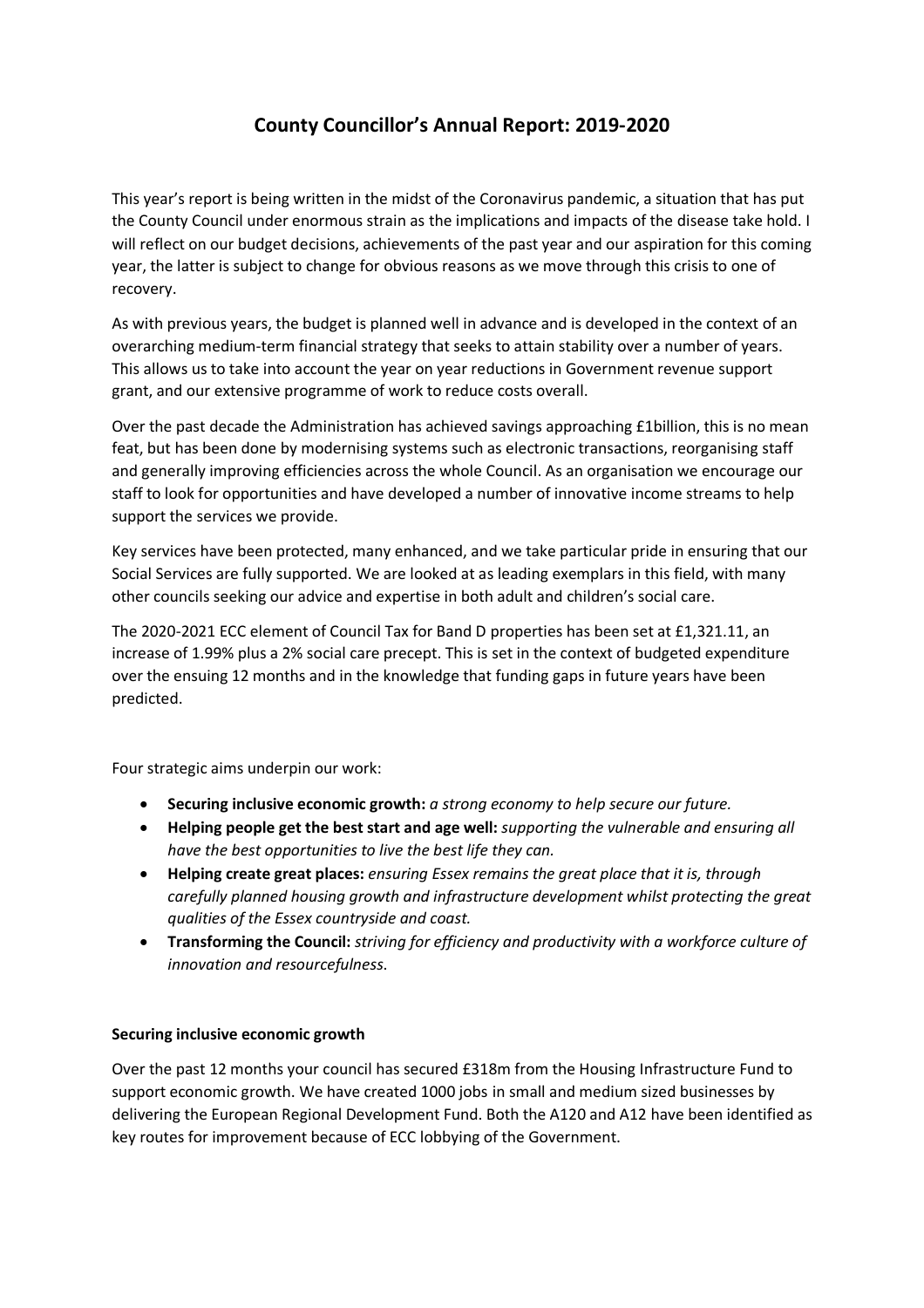# **County Councillor's Annual Report: 2019-2020**

This year's report is being written in the midst of the Coronavirus pandemic, a situation that has put the County Council under enormous strain as the implications and impacts of the disease take hold. I will reflect on our budget decisions, achievements of the past year and our aspiration for this coming year, the latter is subject to change for obvious reasons as we move through this crisis to one of recovery.

As with previous years, the budget is planned well in advance and is developed in the context of an overarching medium-term financial strategy that seeks to attain stability over a number of years. This allows us to take into account the year on year reductions in Government revenue support grant, and our extensive programme of work to reduce costs overall.

Over the past decade the Administration has achieved savings approaching £1billion, this is no mean feat, but has been done by modernising systems such as electronic transactions, reorganising staff and generally improving efficiencies across the whole Council. As an organisation we encourage our staff to look for opportunities and have developed a number of innovative income streams to help support the services we provide.

Key services have been protected, many enhanced, and we take particular pride in ensuring that our Social Services are fully supported. We are looked at as leading exemplars in this field, with many other councils seeking our advice and expertise in both adult and children's social care.

The 2020-2021 ECC element of Council Tax for Band D properties has been set at £1,321.11, an increase of 1.99% plus a 2% social care precept. This is set in the context of budgeted expenditure over the ensuing 12 months and in the knowledge that funding gaps in future years have been predicted.

Four strategic aims underpin our work:

- **Securing inclusive economic growth:** *a strong economy to help secure our future.*
- **Helping people get the best start and age well:** *supporting the vulnerable and ensuring all have the best opportunities to live the best life they can.*
- **Helping create great places:** *ensuring Essex remains the great place that it is, through carefully planned housing growth and infrastructure development whilst protecting the great qualities of the Essex countryside and coast.*
- **Transforming the Council:** *striving for efficiency and productivity with a workforce culture of innovation and resourcefulness*.

## **Securing inclusive economic growth**

Over the past 12 months your council has secured £318m from the Housing Infrastructure Fund to support economic growth. We have created 1000 jobs in small and medium sized businesses by delivering the European Regional Development Fund. Both the A120 and A12 have been identified as key routes for improvement because of ECC lobbying of the Government.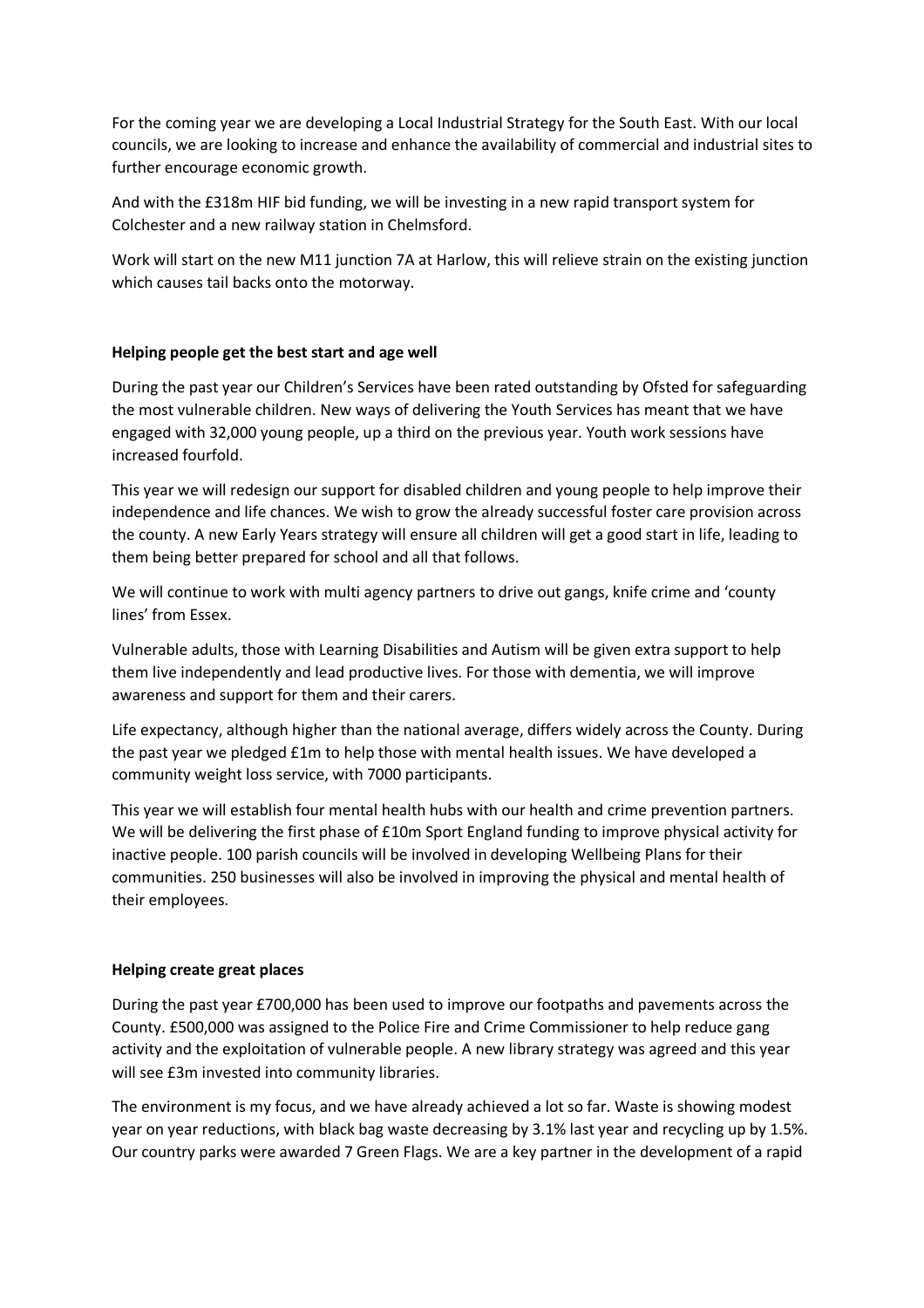For the coming year we are developing a Local Industrial Strategy for the South East. With our local councils, we are looking to increase and enhance the availability of commercial and industrial sites to further encourage economic growth.

And with the £318m HIF bid funding, we will be investing in a new rapid transport system for Colchester and a new railway station in Chelmsford.

Work will start on the new M11 junction 7A at Harlow, this will relieve strain on the existing junction which causes tail backs onto the motorway.

#### **Helping people get the best start and age well**

During the past year our Children's Services have been rated outstanding by Ofsted for safeguarding the most vulnerable children. New ways of delivering the Youth Services has meant that we have engaged with 32,000 young people, up a third on the previous year. Youth work sessions have increased fourfold.

This year we will redesign our support for disabled children and young people to help improve their independence and life chances. We wish to grow the already successful foster care provision across the county. A new Early Years strategy will ensure all children will get a good start in life, leading to them being better prepared for school and all that follows.

We will continue to work with multi agency partners to drive out gangs, knife crime and 'county lines' from Essex.

Vulnerable adults, those with Learning Disabilities and Autism will be given extra support to help them live independently and lead productive lives. For those with dementia, we will improve awareness and support for them and their carers.

Life expectancy, although higher than the national average, differs widely across the County. During the past year we pledged £1m to help those with mental health issues. We have developed a community weight loss service, with 7000 participants.

This year we will establish four mental health hubs with our health and crime prevention partners. We will be delivering the first phase of £10m Sport England funding to improve physical activity for inactive people. 100 parish councils will be involved in developing Wellbeing Plans for their communities. 250 businesses will also be involved in improving the physical and mental health of their employees.

#### **Helping create great places**

During the past year £700,000 has been used to improve our footpaths and pavements across the County. £500,000 was assigned to the Police Fire and Crime Commissioner to help reduce gang activity and the exploitation of vulnerable people. A new library strategy was agreed and this year will see £3m invested into community libraries.

The environment is my focus, and we have already achieved a lot so far. Waste is showing modest year on year reductions, with black bag waste decreasing by 3.1% last year and recycling up by 1.5%. Our country parks were awarded 7 Green Flags. We are a key partner in the development of a rapid